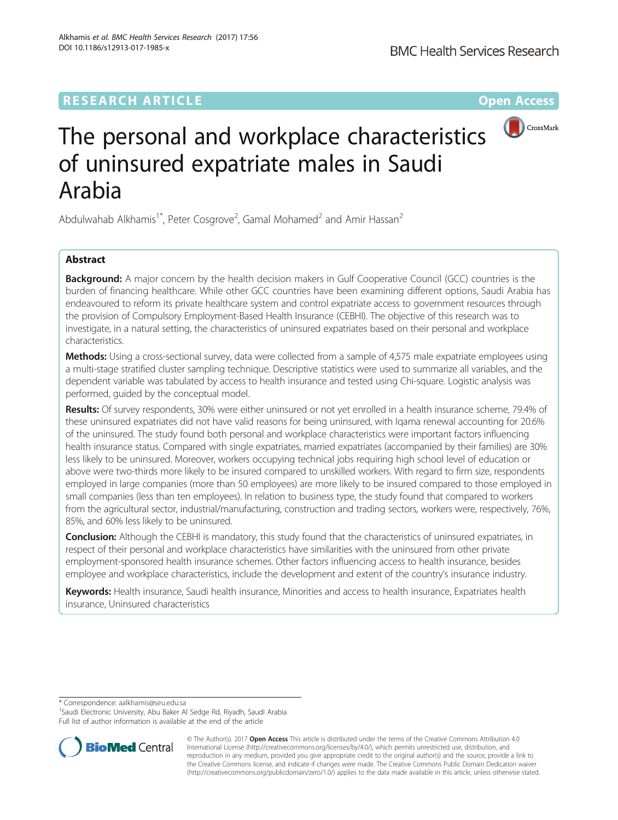# **RESEARCH ARTICLE Example 2014 12:30 The Community Community Community Community Community Community Community**



# The personal and workplace characteristics of uninsured expatriate males in Saudi Arabia

Abdulwahab Alkhamis<sup>1\*</sup>, Peter Cosgrove<sup>2</sup>, Gamal Mohamed<sup>2</sup> and Amir Hassan<sup>2</sup>

# Abstract

**Background:** A major concern by the health decision makers in Gulf Cooperative Council (GCC) countries is the burden of financing healthcare. While other GCC countries have been examining different options, Saudi Arabia has endeavoured to reform its private healthcare system and control expatriate access to government resources through the provision of Compulsory Employment-Based Health Insurance (CEBHI). The objective of this research was to investigate, in a natural setting, the characteristics of uninsured expatriates based on their personal and workplace characteristics.

Methods: Using a cross-sectional survey, data were collected from a sample of 4,575 male expatriate employees using a multi-stage stratified cluster sampling technique. Descriptive statistics were used to summarize all variables, and the dependent variable was tabulated by access to health insurance and tested using Chi-square. Logistic analysis was performed, guided by the conceptual model.

Results: Of survey respondents, 30% were either uninsured or not yet enrolled in a health insurance scheme, 79.4% of these uninsured expatriates did not have valid reasons for being uninsured, with Iqama renewal accounting for 20.6% of the uninsured. The study found both personal and workplace characteristics were important factors influencing health insurance status. Compared with single expatriates, married expatriates (accompanied by their families) are 30% less likely to be uninsured. Moreover, workers occupying technical jobs requiring high school level of education or above were two-thirds more likely to be insured compared to unskilled workers. With regard to firm size, respondents employed in large companies (more than 50 employees) are more likely to be insured compared to those employed in small companies (less than ten employees). In relation to business type, the study found that compared to workers from the agricultural sector, industrial/manufacturing, construction and trading sectors, workers were, respectively, 76%, 85%, and 60% less likely to be uninsured.

Conclusion: Although the CEBHI is mandatory, this study found that the characteristics of uninsured expatriates, in respect of their personal and workplace characteristics have similarities with the uninsured from other private employment-sponsored health insurance schemes. Other factors influencing access to health insurance, besides employee and workplace characteristics, include the development and extent of the country's insurance industry.

Keywords: Health insurance, Saudi health insurance, Minorities and access to health insurance, Expatriates health insurance, Uninsured characteristics

\* Correspondence: [aalkhamis@seu.edu.sa](mailto:aalkhamis@seu.edu.sa) <sup>1</sup>

<sup>1</sup>Saudi Electronic University, Abu Baker Al Sedge Rd, Riyadh, Saudi Arabia Full list of author information is available at the end of the article



© The Author(s). 2017 **Open Access** This article is distributed under the terms of the Creative Commons Attribution 4.0 International License [\(http://creativecommons.org/licenses/by/4.0/](http://creativecommons.org/licenses/by/4.0/)), which permits unrestricted use, distribution, and reproduction in any medium, provided you give appropriate credit to the original author(s) and the source, provide a link to the Creative Commons license, and indicate if changes were made. The Creative Commons Public Domain Dedication waiver [\(http://creativecommons.org/publicdomain/zero/1.0/](http://creativecommons.org/publicdomain/zero/1.0/)) applies to the data made available in this article, unless otherwise stated.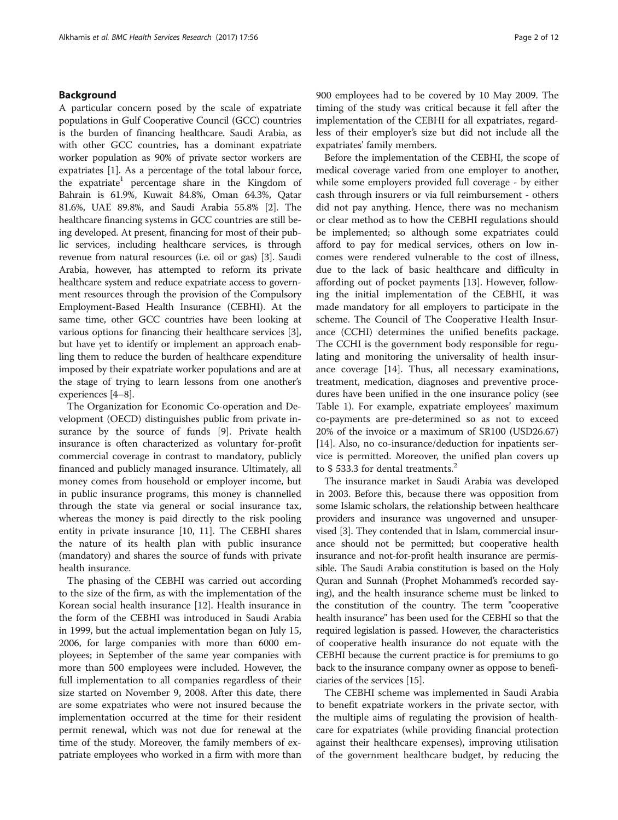# Background

A particular concern posed by the scale of expatriate populations in Gulf Cooperative Council (GCC) countries is the burden of financing healthcare. Saudi Arabia, as with other GCC countries, has a dominant expatriate worker population as 90% of private sector workers are expatriates [\[1](#page-9-0)]. As a percentage of the total labour force, the expatriate<sup>1</sup> percentage share in the Kingdom of Bahrain is 61.9%, Kuwait 84.8%, Oman 64.3%, Qatar 81.6%, UAE 89.8%, and Saudi Arabia 55.8% [[2](#page-9-0)]. The healthcare financing systems in GCC countries are still being developed. At present, financing for most of their public services, including healthcare services, is through revenue from natural resources (i.e. oil or gas) [[3\]](#page-10-0). Saudi Arabia, however, has attempted to reform its private healthcare system and reduce expatriate access to government resources through the provision of the Compulsory Employment-Based Health Insurance (CEBHI). At the same time, other GCC countries have been looking at various options for financing their healthcare services [[3](#page-10-0)], but have yet to identify or implement an approach enabling them to reduce the burden of healthcare expenditure imposed by their expatriate worker populations and are at the stage of trying to learn lessons from one another's experiences [[4](#page-10-0)–[8](#page-10-0)].

The Organization for Economic Co-operation and Development (OECD) distinguishes public from private insurance by the source of funds [[9\]](#page-10-0). Private health insurance is often characterized as voluntary for-profit commercial coverage in contrast to mandatory, publicly financed and publicly managed insurance. Ultimately, all money comes from household or employer income, but in public insurance programs, this money is channelled through the state via general or social insurance tax, whereas the money is paid directly to the risk pooling entity in private insurance [[10](#page-10-0), [11\]](#page-10-0). The CEBHI shares the nature of its health plan with public insurance (mandatory) and shares the source of funds with private health insurance.

The phasing of the CEBHI was carried out according to the size of the firm, as with the implementation of the Korean social health insurance [\[12](#page-10-0)]. Health insurance in the form of the CEBHI was introduced in Saudi Arabia in 1999, but the actual implementation began on July 15, 2006, for large companies with more than 6000 employees; in September of the same year companies with more than 500 employees were included. However, the full implementation to all companies regardless of their size started on November 9, 2008. After this date, there are some expatriates who were not insured because the implementation occurred at the time for their resident permit renewal, which was not due for renewal at the time of the study. Moreover, the family members of expatriate employees who worked in a firm with more than 900 employees had to be covered by 10 May 2009. The timing of the study was critical because it fell after the implementation of the CEBHI for all expatriates, regardless of their employer's size but did not include all the expatriates' family members.

Before the implementation of the CEBHI, the scope of medical coverage varied from one employer to another, while some employers provided full coverage - by either cash through insurers or via full reimbursement - others did not pay anything. Hence, there was no mechanism or clear method as to how the CEBHI regulations should be implemented; so although some expatriates could afford to pay for medical services, others on low incomes were rendered vulnerable to the cost of illness, due to the lack of basic healthcare and difficulty in affording out of pocket payments [[13\]](#page-10-0). However, following the initial implementation of the CEBHI, it was made mandatory for all employers to participate in the scheme. The Council of The Cooperative Health Insurance (CCHI) determines the unified benefits package. The CCHI is the government body responsible for regulating and monitoring the universality of health insurance coverage [\[14](#page-10-0)]. Thus, all necessary examinations, treatment, medication, diagnoses and preventive procedures have been unified in the one insurance policy (see Table [1\)](#page-2-0). For example, expatriate employees' maximum co-payments are pre-determined so as not to exceed 20% of the invoice or a maximum of SR100 (USD26.67) [[14\]](#page-10-0). Also, no co-insurance/deduction for inpatients service is permitted. Moreover, the unified plan covers up to \$533.3 for dental treatments.<sup>2</sup>

The insurance market in Saudi Arabia was developed in 2003. Before this, because there was opposition from some Islamic scholars, the relationship between healthcare providers and insurance was ungoverned and unsupervised [\[3](#page-10-0)]. They contended that in Islam, commercial insurance should not be permitted; but cooperative health insurance and not-for-profit health insurance are permissible. The Saudi Arabia constitution is based on the Holy Quran and Sunnah (Prophet Mohammed's recorded saying), and the health insurance scheme must be linked to the constitution of the country. The term "cooperative health insurance" has been used for the CEBHI so that the required legislation is passed. However, the characteristics of cooperative health insurance do not equate with the CEBHI because the current practice is for premiums to go back to the insurance company owner as oppose to beneficiaries of the services [\[15](#page-10-0)].

The CEBHI scheme was implemented in Saudi Arabia to benefit expatriate workers in the private sector, with the multiple aims of regulating the provision of healthcare for expatriates (while providing financial protection against their healthcare expenses), improving utilisation of the government healthcare budget, by reducing the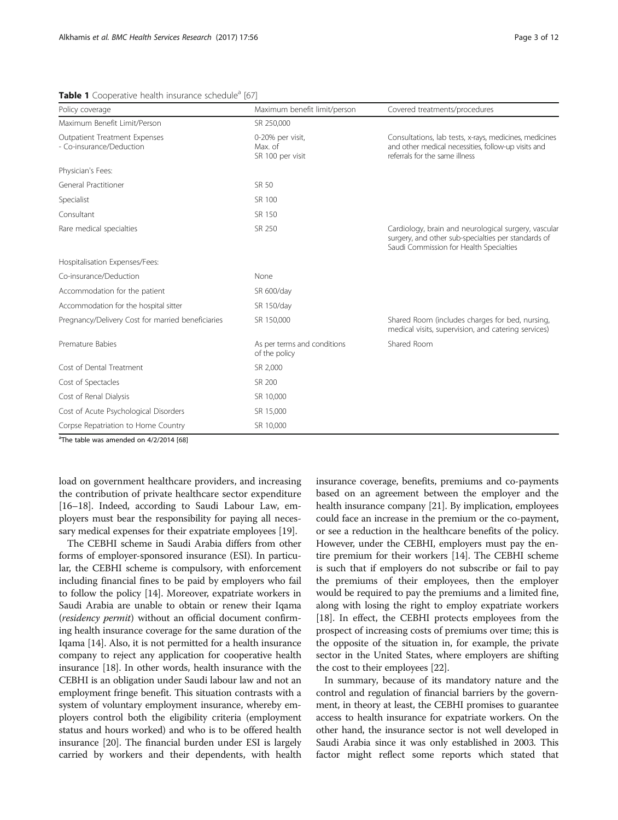| Policy coverage                                           | Maximum benefit limit/person                    | Covered treatments/procedures                                                                                                                          |  |  |  |
|-----------------------------------------------------------|-------------------------------------------------|--------------------------------------------------------------------------------------------------------------------------------------------------------|--|--|--|
| Maximum Benefit Limit/Person                              | SR 250,000                                      |                                                                                                                                                        |  |  |  |
| Outpatient Treatment Expenses<br>- Co-insurance/Deduction | 0-20% per visit,<br>Max. of<br>SR 100 per visit | Consultations, lab tests, x-rays, medicines, medicines<br>and other medical necessities, follow-up visits and<br>referrals for the same illness        |  |  |  |
| Physician's Fees:                                         |                                                 |                                                                                                                                                        |  |  |  |
| General Practitioner                                      | SR 50                                           |                                                                                                                                                        |  |  |  |
| Specialist                                                | SR 100                                          |                                                                                                                                                        |  |  |  |
| Consultant                                                | SR 150                                          |                                                                                                                                                        |  |  |  |
| Rare medical specialties                                  | SR 250                                          | Cardiology, brain and neurological surgery, vascular<br>surgery, and other sub-specialties per standards of<br>Saudi Commission for Health Specialties |  |  |  |
| Hospitalisation Expenses/Fees:                            |                                                 |                                                                                                                                                        |  |  |  |
| Co-insurance/Deduction                                    | None                                            |                                                                                                                                                        |  |  |  |
| Accommodation for the patient                             | SR 600/day                                      |                                                                                                                                                        |  |  |  |
| Accommodation for the hospital sitter                     | SR 150/day                                      |                                                                                                                                                        |  |  |  |
| Pregnancy/Delivery Cost for married beneficiaries         | SR 150,000                                      | Shared Room (includes charges for bed, nursing,<br>medical visits, supervision, and catering services)                                                 |  |  |  |
| Premature Babies                                          | As per terms and conditions<br>of the policy    | Shared Room                                                                                                                                            |  |  |  |
| Cost of Dental Treatment                                  | SR 2,000                                        |                                                                                                                                                        |  |  |  |
| Cost of Spectacles                                        | SR 200                                          |                                                                                                                                                        |  |  |  |
| Cost of Renal Dialysis                                    | SR 10,000                                       |                                                                                                                                                        |  |  |  |
| Cost of Acute Psychological Disorders                     | SR 15,000                                       |                                                                                                                                                        |  |  |  |
| Corpse Repatriation to Home Country                       | SR 10,000                                       |                                                                                                                                                        |  |  |  |

#### <span id="page-2-0"></span>Table 1 Cooperative health insurance schedule<sup>a</sup> [\[67](#page-11-0)]

<sup>a</sup>The table was amended on 4/2/2014 [\[68](#page-11-0)]

load on government healthcare providers, and increasing the contribution of private healthcare sector expenditure [[16](#page-10-0)–[18\]](#page-10-0). Indeed, according to Saudi Labour Law, employers must bear the responsibility for paying all necessary medical expenses for their expatriate employees [[19](#page-10-0)].

The CEBHI scheme in Saudi Arabia differs from other forms of employer-sponsored insurance (ESI). In particular, the CEBHI scheme is compulsory, with enforcement including financial fines to be paid by employers who fail to follow the policy [\[14](#page-10-0)]. Moreover, expatriate workers in Saudi Arabia are unable to obtain or renew their Iqama (residency permit) without an official document confirming health insurance coverage for the same duration of the Iqama [[14](#page-10-0)]. Also, it is not permitted for a health insurance company to reject any application for cooperative health insurance [[18](#page-10-0)]. In other words, health insurance with the CEBHI is an obligation under Saudi labour law and not an employment fringe benefit. This situation contrasts with a system of voluntary employment insurance, whereby employers control both the eligibility criteria (employment status and hours worked) and who is to be offered health insurance [\[20\]](#page-10-0). The financial burden under ESI is largely carried by workers and their dependents, with health insurance coverage, benefits, premiums and co-payments based on an agreement between the employer and the health insurance company [\[21\]](#page-10-0). By implication, employees could face an increase in the premium or the co-payment, or see a reduction in the healthcare benefits of the policy. However, under the CEBHI, employers must pay the entire premium for their workers [\[14](#page-10-0)]. The CEBHI scheme is such that if employers do not subscribe or fail to pay the premiums of their employees, then the employer would be required to pay the premiums and a limited fine, along with losing the right to employ expatriate workers [[18](#page-10-0)]. In effect, the CEBHI protects employees from the prospect of increasing costs of premiums over time; this is the opposite of the situation in, for example, the private sector in the United States, where employers are shifting the cost to their employees [\[22\]](#page-10-0).

In summary, because of its mandatory nature and the control and regulation of financial barriers by the government, in theory at least, the CEBHI promises to guarantee access to health insurance for expatriate workers. On the other hand, the insurance sector is not well developed in Saudi Arabia since it was only established in 2003. This factor might reflect some reports which stated that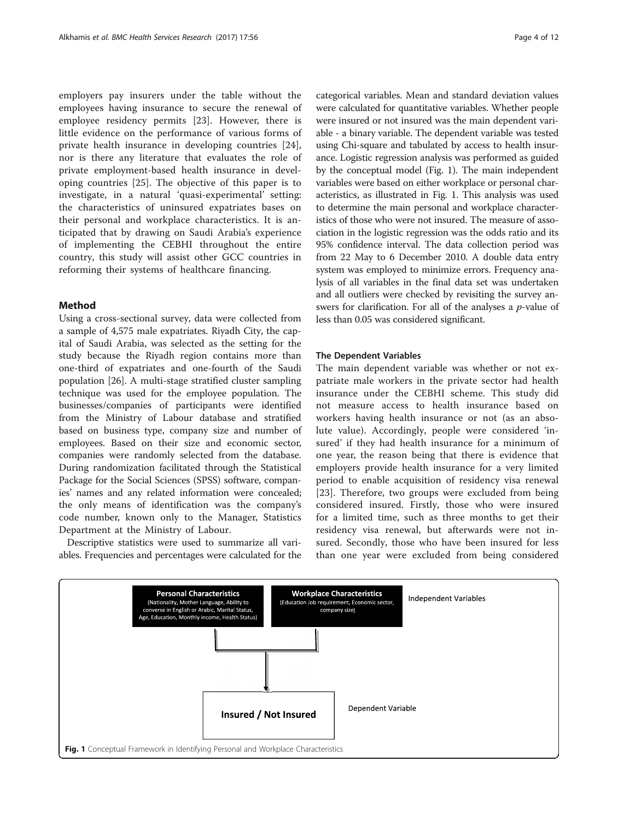employers pay insurers under the table without the employees having insurance to secure the renewal of employee residency permits [\[23](#page-10-0)]. However, there is little evidence on the performance of various forms of private health insurance in developing countries [\[24](#page-10-0)], nor is there any literature that evaluates the role of private employment-based health insurance in developing countries [[25](#page-10-0)]. The objective of this paper is to investigate, in a natural 'quasi-experimental' setting: the characteristics of uninsured expatriates bases on their personal and workplace characteristics. It is anticipated that by drawing on Saudi Arabia's experience of implementing the CEBHI throughout the entire country, this study will assist other GCC countries in reforming their systems of healthcare financing.

# Method

Using a cross-sectional survey, data were collected from a sample of 4,575 male expatriates. Riyadh City, the capital of Saudi Arabia, was selected as the setting for the study because the Riyadh region contains more than one-third of expatriates and one-fourth of the Saudi population [\[26\]](#page-10-0). A multi-stage stratified cluster sampling technique was used for the employee population. The businesses/companies of participants were identified from the Ministry of Labour database and stratified based on business type, company size and number of employees. Based on their size and economic sector, companies were randomly selected from the database. During randomization facilitated through the Statistical Package for the Social Sciences (SPSS) software, companies' names and any related information were concealed; the only means of identification was the company's code number, known only to the Manager, Statistics Department at the Ministry of Labour.

Descriptive statistics were used to summarize all variables. Frequencies and percentages were calculated for the categorical variables. Mean and standard deviation values were calculated for quantitative variables. Whether people were insured or not insured was the main dependent variable - a binary variable. The dependent variable was tested using Chi-square and tabulated by access to health insurance. Logistic regression analysis was performed as guided by the conceptual model (Fig. 1). The main independent variables were based on either workplace or personal characteristics, as illustrated in Fig. 1. This analysis was used to determine the main personal and workplace characteristics of those who were not insured. The measure of association in the logistic regression was the odds ratio and its 95% confidence interval. The data collection period was from 22 May to 6 December 2010. A double data entry system was employed to minimize errors. Frequency analysis of all variables in the final data set was undertaken and all outliers were checked by revisiting the survey answers for clarification. For all of the analyses a  $p$ -value of less than 0.05 was considered significant.

# The Dependent Variables

The main dependent variable was whether or not expatriate male workers in the private sector had health insurance under the CEBHI scheme. This study did not measure access to health insurance based on workers having health insurance or not (as an absolute value). Accordingly, people were considered 'insured' if they had health insurance for a minimum of one year, the reason being that there is evidence that employers provide health insurance for a very limited period to enable acquisition of residency visa renewal [[23\]](#page-10-0). Therefore, two groups were excluded from being considered insured. Firstly, those who were insured for a limited time, such as three months to get their residency visa renewal, but afterwards were not insured. Secondly, those who have been insured for less than one year were excluded from being considered

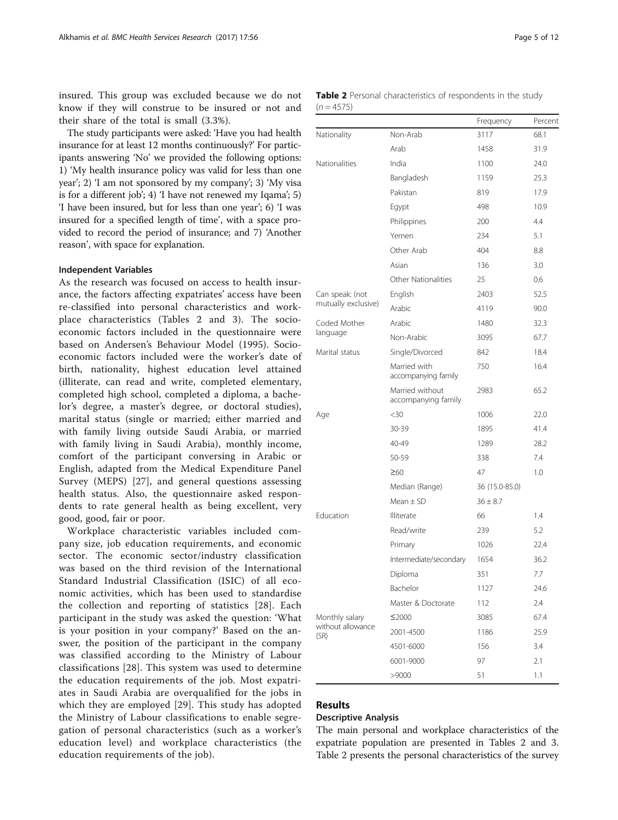<span id="page-4-0"></span>insured. This group was excluded because we do not know if they will construe to be insured or not and their share of the total is small (3.3%).

The study participants were asked: 'Have you had health insurance for at least 12 months continuously?' For participants answering 'No' we provided the following options: 1) 'My health insurance policy was valid for less than one year'; 2) 'I am not sponsored by my company'; 3) 'My visa is for a different job'; 4) 'I have not renewed my Iqama'; 5) 'I have been insured, but for less than one year'; 6) 'I was insured for a specified length of time', with a space provided to record the period of insurance; and 7) 'Another reason', with space for explanation.

## Independent Variables

As the research was focused on access to health insurance, the factors affecting expatriates' access have been re-classified into personal characteristics and workplace characteristics (Tables 2 and [3](#page-5-0)). The socioeconomic factors included in the questionnaire were based on Andersen's Behaviour Model (1995). Socioeconomic factors included were the worker's date of birth, nationality, highest education level attained (illiterate, can read and write, completed elementary, completed high school, completed a diploma, a bachelor's degree, a master's degree, or doctoral studies), marital status (single or married; either married and with family living outside Saudi Arabia, or married with family living in Saudi Arabia), monthly income, comfort of the participant conversing in Arabic or English, adapted from the Medical Expenditure Panel Survey (MEPS) [[27\]](#page-10-0), and general questions assessing health status. Also, the questionnaire asked respondents to rate general health as being excellent, very good, good, fair or poor.

Workplace characteristic variables included company size, job education requirements, and economic sector. The economic sector/industry classification was based on the third revision of the International Standard Industrial Classification (ISIC) of all economic activities, which has been used to standardise the collection and reporting of statistics [[28\]](#page-10-0). Each participant in the study was asked the question: 'What is your position in your company?' Based on the answer, the position of the participant in the company was classified according to the Ministry of Labour classifications [[28\]](#page-10-0). This system was used to determine the education requirements of the job. Most expatriates in Saudi Arabia are overqualified for the jobs in which they are employed [\[29](#page-10-0)]. This study has adopted the Ministry of Labour classifications to enable segregation of personal characteristics (such as a worker's education level) and workplace characteristics (the education requirements of the job).

| Table 2 Personal characteristics of respondents in the study |  |  |  |
|--------------------------------------------------------------|--|--|--|
| $(n = 4575)$                                                 |  |  |  |

|                           |                                        | Frequency      | Percent |
|---------------------------|----------------------------------------|----------------|---------|
| Nationality               | Non-Arab                               | 3117           | 68.1    |
|                           | Arab                                   | 1458           | 31.9    |
| <b>Nationalities</b>      | India                                  | 1100           | 24.0    |
|                           | Bangladesh                             | 1159           | 25.3    |
|                           | Pakistan                               | 819            | 17.9    |
|                           | Egypt                                  | 498            | 10.9    |
|                           | Philippines                            | 200            | 4.4     |
|                           | Yemen                                  | 234            | 5.1     |
|                           | Other Arab                             | 404            | 8.8     |
|                           | Asian                                  | 136            | 3.0     |
|                           | Other Nationalities                    | 25             | 0.6     |
| Can speak: (not           | English                                | 2403           | 52.5    |
| mutually exclusive)       | Arabic                                 | 4119           | 90.0    |
| Coded Mother              | Arabic                                 | 1480           | 32.3    |
| language                  | Non-Arabic                             | 3095           | 67.7    |
| Marital status            | Single/Divorced                        | 842            | 18.4    |
|                           | Married with<br>accompanying family    | 750            | 16.4    |
|                           | Married without<br>accompanying family | 2983           | 65.2    |
| Age                       | $<$ 30                                 | 1006           | 22.0    |
|                           | 30-39                                  | 1895           | 41.4    |
|                           | 40-49                                  | 1289           | 28.2    |
|                           | 50-59                                  | 338            | 7.4     |
|                           | $\geq 60$                              | 47             | 1.0     |
|                           | Median (Range)                         | 36 (15.0-85.0) |         |
|                           | Mean $\pm$ SD                          | $36 \pm 8.7$   |         |
| Education                 | Illiterate                             | 66             | 1.4     |
|                           | Read/write                             | 239            | 5.2     |
|                           | Primary                                | 1026           | 22.4    |
|                           | Intermediate/secondary                 | 1654           | 36.2    |
|                           | Diploma                                | 351            | 7.7     |
|                           | Bachelor                               | 1127           | 24.6    |
|                           | Master & Doctorate                     | 112            | 2.4     |
| Monthly salary            | ≤2000                                  | 3085           | 67.4    |
| without allowance<br>(SR) | 2001-4500                              | 1186           | 25.9    |
|                           | 4501-6000                              | 156            | 3.4     |
|                           | 6001-9000                              | 97             | 2.1     |
|                           | >9000                                  | 51             | 1.1     |
|                           |                                        |                |         |

# Results

## Descriptive Analysis

The main personal and workplace characteristics of the expatriate population are presented in Tables 2 and [3](#page-5-0). Table 2 presents the personal characteristics of the survey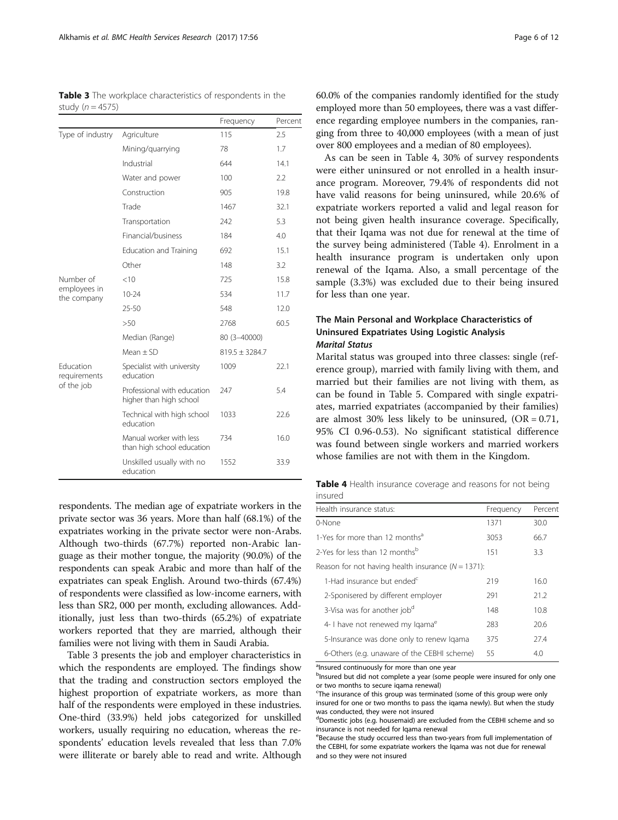<span id="page-5-0"></span>Table 3 The workplace characteristics of respondents in the study ( $n = 4575$ )

|                                                |                                                        | Frequency          | Percent |
|------------------------------------------------|--------------------------------------------------------|--------------------|---------|
| Type of industry                               | Agriculture                                            | 115                | 2.5     |
|                                                | Mining/guarrying                                       | 78                 | 1.7     |
|                                                | Industrial                                             | 644                | 14.1    |
|                                                | Water and power                                        | 100                | 2.2     |
|                                                | Construction                                           | 905                | 19.8    |
|                                                | Trade                                                  | 1467               | 32.1    |
|                                                | Transportation                                         | 242                | 5.3     |
|                                                | Financial/business                                     | 184                | 4.0     |
|                                                | <b>Education and Training</b>                          | 692                | 15.1    |
|                                                | Other                                                  | 148                | 3.2     |
| Number of                                      | < 10                                                   | 725                | 15.8    |
| employees in<br>the company                    | $10 - 24$                                              | 534                | 11.7    |
|                                                | $25 - 50$                                              | 548                | 12.0    |
|                                                | >50                                                    | 2768               | 60.5    |
|                                                | Median (Range)                                         | 80 (3-40000)       |         |
|                                                | $Mean + SD$                                            | $819.5 \pm 3284.7$ |         |
| <b>Education</b><br>requirements<br>of the job | Specialist with university<br>education                | 1009               | 22.1    |
|                                                | Professional with education<br>higher than high school | 247                | 5.4     |
|                                                | Technical with high school<br>education                | 1033               | 22.6    |
|                                                | Manual worker with less<br>than high school education  | 734                | 16.0    |
|                                                | Unskilled usually with no<br>education                 | 1552               | 33.9    |

respondents. The median age of expatriate workers in the private sector was 36 years. More than half (68.1%) of the expatriates working in the private sector were non-Arabs. Although two-thirds (67.7%) reported non-Arabic language as their mother tongue, the majority (90.0%) of the respondents can speak Arabic and more than half of the expatriates can speak English. Around two-thirds (67.4%) of respondents were classified as low-income earners, with less than SR2, 000 per month, excluding allowances. Additionally, just less than two-thirds (65.2%) of expatriate workers reported that they are married, although their families were not living with them in Saudi Arabia.

Table 3 presents the job and employer characteristics in which the respondents are employed. The findings show that the trading and construction sectors employed the highest proportion of expatriate workers, as more than half of the respondents were employed in these industries. One-third (33.9%) held jobs categorized for unskilled workers, usually requiring no education, whereas the respondents' education levels revealed that less than 7.0% were illiterate or barely able to read and write. Although

60.0% of the companies randomly identified for the study employed more than 50 employees, there was a vast difference regarding employee numbers in the companies, ranging from three to 40,000 employees (with a mean of just over 800 employees and a median of 80 employees).

As can be seen in Table 4, 30% of survey respondents were either uninsured or not enrolled in a health insurance program. Moreover, 79.4% of respondents did not have valid reasons for being uninsured, while 20.6% of expatriate workers reported a valid and legal reason for not being given health insurance coverage. Specifically, that their Iqama was not due for renewal at the time of the survey being administered (Table 4). Enrolment in a health insurance program is undertaken only upon renewal of the Iqama. Also, a small percentage of the sample (3.3%) was excluded due to their being insured for less than one year.

# The Main Personal and Workplace Characteristics of Uninsured Expatriates Using Logistic Analysis Marital Status

Marital status was grouped into three classes: single (reference group), married with family living with them, and married but their families are not living with them, as can be found in Table [5.](#page-6-0) Compared with single expatriates, married expatriates (accompanied by their families) are almost 30% less likely to be uninsured,  $(OR = 0.71,$ 95% CI 0.96-0.53). No significant statistical difference was found between single workers and married workers whose families are not with them in the Kingdom.

Table 4 Health insurance coverage and reasons for not being insured

| Health insurance status:                               | Frequency | Percent |
|--------------------------------------------------------|-----------|---------|
| 0-None                                                 | 1371      | 30.0    |
| 1-Yes for more than 12 months <sup>a</sup>             | 3053      | 66.7    |
| 2-Yes for less than 12 months <sup>b</sup>             | 151       | 3.3     |
| Reason for not having health insurance ( $N = 1371$ ): |           |         |
| 1-Had insurance but ended <sup>c</sup>                 | 219       | 16.0    |
| 2-Sponisered by different employer                     | 291       | 21.2    |
| 3-Visa was for another job <sup>d</sup>                | 148       | 10.8    |
| 4- I have not renewed my Igama <sup>e</sup>            | 283       | 20.6    |
| 5-Insurance was done only to renew Igama               | 375       | 27.4    |
| 6-Others (e.g. unaware of the CEBHI scheme)            | 55        | 4.0     |

<sup>a</sup>lnsured continuously for more than one year

bInsured but did not complete a year (some people were insured for only one or two months to secure iqama renewal)

<sup>&</sup>lt;sup>c</sup>The insurance of this group was terminated (some of this group were only insured for one or two months to pass the iqama newly). But when the study was conducted, they were not insured

<sup>&</sup>lt;sup>d</sup>Domestic jobs (e.g. housemaid) are excluded from the CEBHI scheme and so insurance is not needed for Iqama renewal

eBecause the study occurred less than two-years from full implementation of the CEBHI, for some expatriate workers the Iqama was not due for renewal and so they were not insured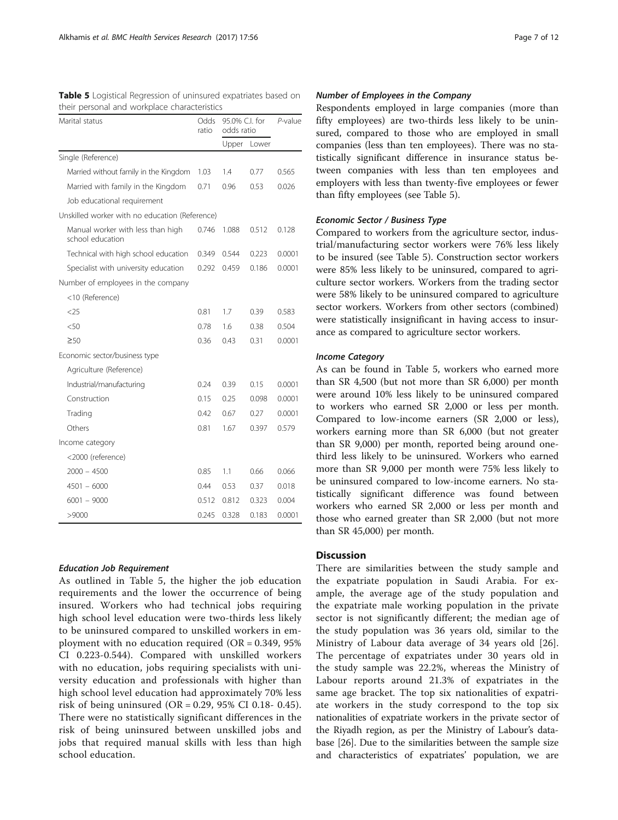| Marital status                                        |       | 95.0% C.I. for<br>odds ratio | $P$ -value |        |
|-------------------------------------------------------|-------|------------------------------|------------|--------|
|                                                       |       | Upper                        | Lower      |        |
| Single (Reference)                                    |       |                              |            |        |
| Married without family in the Kingdom                 | 1.03  | 1.4                          | 0.77       | 0.565  |
| Married with family in the Kingdom                    | 0.71  | 0.96                         | 0.53       | 0.026  |
| Job educational requirement                           |       |                              |            |        |
| Unskilled worker with no education (Reference)        |       |                              |            |        |
| Manual worker with less than high<br>school education | 0.746 | 1.088                        | 0.512      | 0.128  |
| Technical with high school education                  | 0.349 | 0.544                        | 0.223      | 0.0001 |
| Specialist with university education                  | 0.292 | 0.459                        | 0.186      | 0.0001 |
| Number of employees in the company                    |       |                              |            |        |
| <10 (Reference)                                       |       |                              |            |        |
| &5                                                    | 0.81  | 1.7                          | 0.39       | 0.583  |
| $<$ 50                                                | 0.78  | 1.6                          | 0.38       | 0.504  |
| $\geq 50$                                             | 0.36  | 0.43                         | 0.31       | 0.0001 |
| Economic sector/business type                         |       |                              |            |        |
| Agriculture (Reference)                               |       |                              |            |        |
| Industrial/manufacturing                              | 0.24  | 0.39                         | 0.15       | 0.0001 |
| Construction                                          | 0.15  | 0.25                         | 0.098      | 0.0001 |
| Trading                                               | 0.42  | 0.67                         | 0.27       | 0.0001 |
| Others                                                | 0.81  | 1.67                         | 0.397      | 0.579  |
| Income category                                       |       |                              |            |        |
| <2000 (reference)                                     |       |                              |            |        |
| 2000 - 4500                                           | 0.85  | 1.1                          | 0.66       | 0.066  |
| $4501 - 6000$                                         | 0.44  | 0.53                         | 0.37       | 0.018  |
| $6001 - 9000$                                         | 0.512 | 0.812                        | 0.323      | 0.004  |
| >9000                                                 | 0.245 | 0.328                        | 0.183      | 0.0001 |

<span id="page-6-0"></span>Table 5 Logistical Regression of uninsured expatriates based on their personal and workplace characteristics

#### Education Job Requirement

As outlined in Table 5, the higher the job education requirements and the lower the occurrence of being insured. Workers who had technical jobs requiring high school level education were two-thirds less likely to be uninsured compared to unskilled workers in employment with no education required ( $OR = 0.349$ , 95%) CI 0.223-0.544). Compared with unskilled workers with no education, jobs requiring specialists with university education and professionals with higher than high school level education had approximately 70% less risk of being uninsured (OR =  $0.29$ , 95% CI 0.18- 0.45). There were no statistically significant differences in the risk of being uninsured between unskilled jobs and jobs that required manual skills with less than high school education.

# Number of Employees in the Company

Respondents employed in large companies (more than fifty employees) are two-thirds less likely to be uninsured, compared to those who are employed in small companies (less than ten employees). There was no statistically significant difference in insurance status between companies with less than ten employees and employers with less than twenty-five employees or fewer than fifty employees (see Table 5).

#### Economic Sector / Business Type

Compared to workers from the agriculture sector, industrial/manufacturing sector workers were 76% less likely to be insured (see Table 5). Construction sector workers were 85% less likely to be uninsured, compared to agriculture sector workers. Workers from the trading sector were 58% likely to be uninsured compared to agriculture sector workers. Workers from other sectors (combined) were statistically insignificant in having access to insurance as compared to agriculture sector workers.

#### Income Category

As can be found in Table 5, workers who earned more than SR 4,500 (but not more than SR 6,000) per month were around 10% less likely to be uninsured compared to workers who earned SR 2,000 or less per month. Compared to low-income earners (SR 2,000 or less), workers earning more than SR 6,000 (but not greater than SR 9,000) per month, reported being around onethird less likely to be uninsured. Workers who earned more than SR 9,000 per month were 75% less likely to be uninsured compared to low-income earners. No statistically significant difference was found between workers who earned SR 2,000 or less per month and those who earned greater than SR 2,000 (but not more than SR 45,000) per month.

# Discussion

There are similarities between the study sample and the expatriate population in Saudi Arabia. For example, the average age of the study population and the expatriate male working population in the private sector is not significantly different; the median age of the study population was 36 years old, similar to the Ministry of Labour data average of 34 years old [\[26](#page-10-0)]. The percentage of expatriates under 30 years old in the study sample was 22.2%, whereas the Ministry of Labour reports around 21.3% of expatriates in the same age bracket. The top six nationalities of expatriate workers in the study correspond to the top six nationalities of expatriate workers in the private sector of the Riyadh region, as per the Ministry of Labour's database [[26](#page-10-0)]. Due to the similarities between the sample size and characteristics of expatriates' population, we are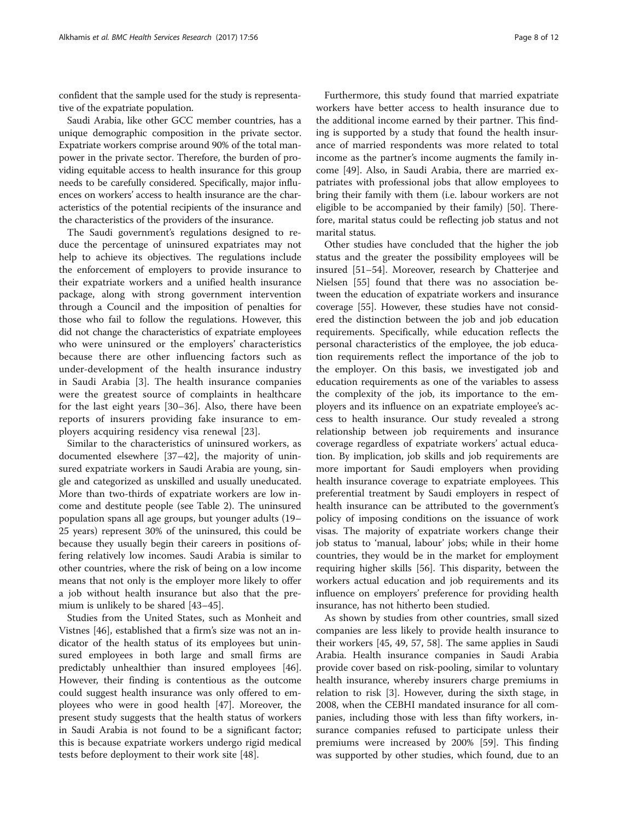confident that the sample used for the study is representative of the expatriate population.

Saudi Arabia, like other GCC member countries, has a unique demographic composition in the private sector. Expatriate workers comprise around 90% of the total manpower in the private sector. Therefore, the burden of providing equitable access to health insurance for this group needs to be carefully considered. Specifically, major influences on workers' access to health insurance are the characteristics of the potential recipients of the insurance and the characteristics of the providers of the insurance.

The Saudi government's regulations designed to reduce the percentage of uninsured expatriates may not help to achieve its objectives. The regulations include the enforcement of employers to provide insurance to their expatriate workers and a unified health insurance package, along with strong government intervention through a Council and the imposition of penalties for those who fail to follow the regulations. However, this did not change the characteristics of expatriate employees who were uninsured or the employers' characteristics because there are other influencing factors such as under-development of the health insurance industry in Saudi Arabia [[3\]](#page-10-0). The health insurance companies were the greatest source of complaints in healthcare for the last eight years [[30](#page-10-0)–[36\]](#page-10-0). Also, there have been reports of insurers providing fake insurance to employers acquiring residency visa renewal [\[23](#page-10-0)].

Similar to the characteristics of uninsured workers, as documented elsewhere [\[37](#page-10-0)–[42\]](#page-10-0), the majority of uninsured expatriate workers in Saudi Arabia are young, single and categorized as unskilled and usually uneducated. More than two-thirds of expatriate workers are low income and destitute people (see Table [2](#page-4-0)). The uninsured population spans all age groups, but younger adults (19– 25 years) represent 30% of the uninsured, this could be because they usually begin their careers in positions offering relatively low incomes. Saudi Arabia is similar to other countries, where the risk of being on a low income means that not only is the employer more likely to offer a job without health insurance but also that the premium is unlikely to be shared [[43](#page-10-0)–[45](#page-10-0)].

Studies from the United States, such as Monheit and Vistnes [\[46\]](#page-10-0), established that a firm's size was not an indicator of the health status of its employees but uninsured employees in both large and small firms are predictably unhealthier than insured employees [\[46](#page-10-0)]. However, their finding is contentious as the outcome could suggest health insurance was only offered to employees who were in good health [[47\]](#page-10-0). Moreover, the present study suggests that the health status of workers in Saudi Arabia is not found to be a significant factor; this is because expatriate workers undergo rigid medical tests before deployment to their work site [\[48](#page-10-0)].

Furthermore, this study found that married expatriate workers have better access to health insurance due to the additional income earned by their partner. This finding is supported by a study that found the health insurance of married respondents was more related to total income as the partner's income augments the family income [[49\]](#page-10-0). Also, in Saudi Arabia, there are married expatriates with professional jobs that allow employees to bring their family with them (i.e. labour workers are not eligible to be accompanied by their family) [[50\]](#page-10-0). Therefore, marital status could be reflecting job status and not marital status.

Other studies have concluded that the higher the job status and the greater the possibility employees will be insured [[51](#page-10-0)–[54](#page-10-0)]. Moreover, research by Chatterjee and Nielsen [[55\]](#page-10-0) found that there was no association between the education of expatriate workers and insurance coverage [[55\]](#page-10-0). However, these studies have not considered the distinction between the job and job education requirements. Specifically, while education reflects the personal characteristics of the employee, the job education requirements reflect the importance of the job to the employer. On this basis, we investigated job and education requirements as one of the variables to assess the complexity of the job, its importance to the employers and its influence on an expatriate employee's access to health insurance. Our study revealed a strong relationship between job requirements and insurance coverage regardless of expatriate workers' actual education. By implication, job skills and job requirements are more important for Saudi employers when providing health insurance coverage to expatriate employees. This preferential treatment by Saudi employers in respect of health insurance can be attributed to the government's policy of imposing conditions on the issuance of work visas. The majority of expatriate workers change their job status to 'manual, labour' jobs; while in their home countries, they would be in the market for employment requiring higher skills [\[56](#page-10-0)]. This disparity, between the workers actual education and job requirements and its influence on employers' preference for providing health insurance, has not hitherto been studied.

As shown by studies from other countries, small sized companies are less likely to provide health insurance to their workers [[45, 49,](#page-10-0) [57](#page-11-0), [58](#page-11-0)]. The same applies in Saudi Arabia. Health insurance companies in Saudi Arabia provide cover based on risk-pooling, similar to voluntary health insurance, whereby insurers charge premiums in relation to risk [\[3\]](#page-10-0). However, during the sixth stage, in 2008, when the CEBHI mandated insurance for all companies, including those with less than fifty workers, insurance companies refused to participate unless their premiums were increased by 200% [[59](#page-11-0)]. This finding was supported by other studies, which found, due to an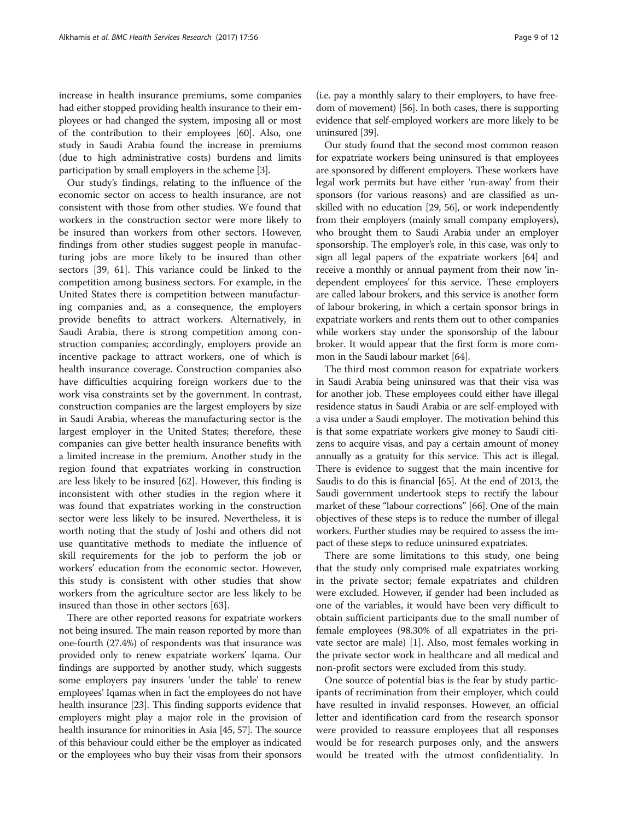increase in health insurance premiums, some companies had either stopped providing health insurance to their employees or had changed the system, imposing all or most of the contribution to their employees [\[60\]](#page-11-0). Also, one study in Saudi Arabia found the increase in premiums (due to high administrative costs) burdens and limits participation by small employers in the scheme [[3](#page-10-0)].

Our study's findings, relating to the influence of the economic sector on access to health insurance, are not consistent with those from other studies. We found that workers in the construction sector were more likely to be insured than workers from other sectors. However, findings from other studies suggest people in manufacturing jobs are more likely to be insured than other sectors [\[39](#page-10-0), [61](#page-11-0)]. This variance could be linked to the competition among business sectors. For example, in the United States there is competition between manufacturing companies and, as a consequence, the employers provide benefits to attract workers. Alternatively, in Saudi Arabia, there is strong competition among construction companies; accordingly, employers provide an incentive package to attract workers, one of which is health insurance coverage. Construction companies also have difficulties acquiring foreign workers due to the work visa constraints set by the government. In contrast, construction companies are the largest employers by size in Saudi Arabia, whereas the manufacturing sector is the largest employer in the United States; therefore, these companies can give better health insurance benefits with a limited increase in the premium. Another study in the region found that expatriates working in construction are less likely to be insured [\[62\]](#page-11-0). However, this finding is inconsistent with other studies in the region where it was found that expatriates working in the construction sector were less likely to be insured. Nevertheless, it is worth noting that the study of Joshi and others did not use quantitative methods to mediate the influence of skill requirements for the job to perform the job or workers' education from the economic sector. However, this study is consistent with other studies that show workers from the agriculture sector are less likely to be insured than those in other sectors [[63\]](#page-11-0).

There are other reported reasons for expatriate workers not being insured. The main reason reported by more than one-fourth (27.4%) of respondents was that insurance was provided only to renew expatriate workers' Iqama. Our findings are supported by another study, which suggests some employers pay insurers 'under the table' to renew employees' Iqamas when in fact the employees do not have health insurance [\[23\]](#page-10-0). This finding supports evidence that employers might play a major role in the provision of health insurance for minorities in Asia [[45](#page-10-0), [57](#page-11-0)]. The source of this behaviour could either be the employer as indicated or the employees who buy their visas from their sponsors

(i.e. pay a monthly salary to their employers, to have freedom of movement) [[56](#page-10-0)]. In both cases, there is supporting evidence that self-employed workers are more likely to be uninsured [\[39\]](#page-10-0).

Our study found that the second most common reason for expatriate workers being uninsured is that employees are sponsored by different employers. These workers have legal work permits but have either 'run-away' from their sponsors (for various reasons) and are classified as unskilled with no education [\[29, 56\]](#page-10-0), or work independently from their employers (mainly small company employers), who brought them to Saudi Arabia under an employer sponsorship. The employer's role, in this case, was only to sign all legal papers of the expatriate workers [\[64\]](#page-11-0) and receive a monthly or annual payment from their now 'independent employees' for this service. These employers are called labour brokers, and this service is another form of labour brokering, in which a certain sponsor brings in expatriate workers and rents them out to other companies while workers stay under the sponsorship of the labour broker. It would appear that the first form is more common in the Saudi labour market [\[64\]](#page-11-0).

The third most common reason for expatriate workers in Saudi Arabia being uninsured was that their visa was for another job. These employees could either have illegal residence status in Saudi Arabia or are self-employed with a visa under a Saudi employer. The motivation behind this is that some expatriate workers give money to Saudi citizens to acquire visas, and pay a certain amount of money annually as a gratuity for this service. This act is illegal. There is evidence to suggest that the main incentive for Saudis to do this is financial [\[65\]](#page-11-0). At the end of 2013, the Saudi government undertook steps to rectify the labour market of these "labour corrections" [\[66\]](#page-11-0). One of the main objectives of these steps is to reduce the number of illegal workers. Further studies may be required to assess the impact of these steps to reduce uninsured expatriates.

There are some limitations to this study, one being that the study only comprised male expatriates working in the private sector; female expatriates and children were excluded. However, if gender had been included as one of the variables, it would have been very difficult to obtain sufficient participants due to the small number of female employees (98.30% of all expatriates in the private sector are male) [\[1](#page-9-0)]. Also, most females working in the private sector work in healthcare and all medical and non-profit sectors were excluded from this study.

One source of potential bias is the fear by study participants of recrimination from their employer, which could have resulted in invalid responses. However, an official letter and identification card from the research sponsor were provided to reassure employees that all responses would be for research purposes only, and the answers would be treated with the utmost confidentiality. In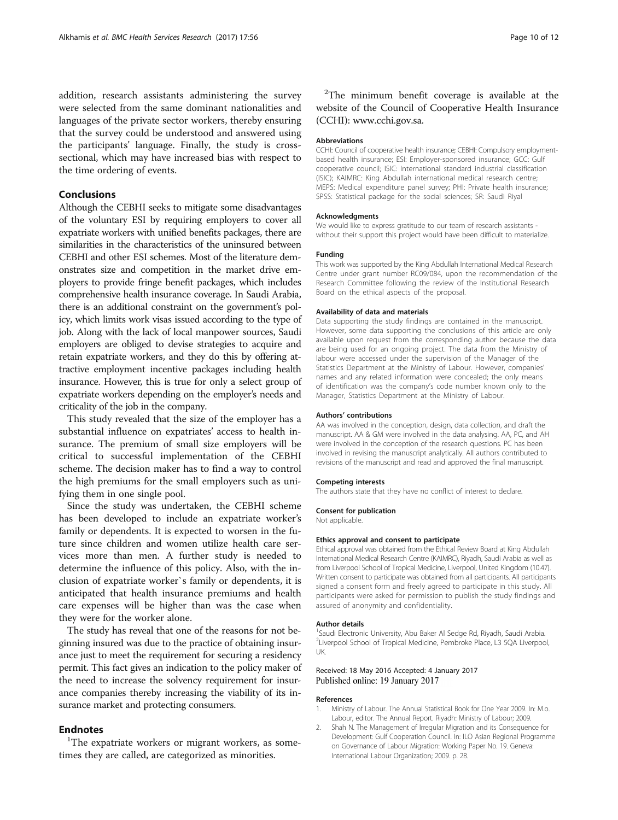<span id="page-9-0"></span>addition, research assistants administering the survey were selected from the same dominant nationalities and languages of the private sector workers, thereby ensuring that the survey could be understood and answered using the participants' language. Finally, the study is crosssectional, which may have increased bias with respect to the time ordering of events.

## Conclusions

Although the CEBHI seeks to mitigate some disadvantages of the voluntary ESI by requiring employers to cover all expatriate workers with unified benefits packages, there are similarities in the characteristics of the uninsured between CEBHI and other ESI schemes. Most of the literature demonstrates size and competition in the market drive employers to provide fringe benefit packages, which includes comprehensive health insurance coverage. In Saudi Arabia, there is an additional constraint on the government's policy, which limits work visas issued according to the type of job. Along with the lack of local manpower sources, Saudi employers are obliged to devise strategies to acquire and retain expatriate workers, and they do this by offering attractive employment incentive packages including health insurance. However, this is true for only a select group of expatriate workers depending on the employer's needs and criticality of the job in the company.

This study revealed that the size of the employer has a substantial influence on expatriates' access to health insurance. The premium of small size employers will be critical to successful implementation of the CEBHI scheme. The decision maker has to find a way to control the high premiums for the small employers such as unifying them in one single pool.

Since the study was undertaken, the CEBHI scheme has been developed to include an expatriate worker's family or dependents. It is expected to worsen in the future since children and women utilize health care services more than men. A further study is needed to determine the influence of this policy. Also, with the inclusion of expatriate worker`s family or dependents, it is anticipated that health insurance premiums and health care expenses will be higher than was the case when they were for the worker alone.

The study has reveal that one of the reasons for not beginning insured was due to the practice of obtaining insurance just to meet the requirement for securing a residency permit. This fact gives an indication to the policy maker of the need to increase the solvency requirement for insurance companies thereby increasing the viability of its insurance market and protecting consumers.

# **Endnotes**

<sup>1</sup>The expatriate workers or migrant workers, as sometimes they are called, are categorized as minorities.

<sup>2</sup>The minimum benefit coverage is available at the website of the Council of Cooperative Health Insurance (CCHI): [www.cchi.gov.sa](http://www.cchi.gov.sa/).

#### Abbreviations

CCHI: Council of cooperative health insurance; CEBHI: Compulsory employmentbased health insurance; ESI: Employer-sponsored insurance; GCC: Gulf cooperative council; ISIC: International standard industrial classification (ISIC); KAIMRC: King Abdullah international medical research centre; MEPS: Medical expenditure panel survey; PHI: Private health insurance; SPSS: Statistical package for the social sciences; SR: Saudi Riyal

#### Acknowledgments

We would like to express gratitude to our team of research assistants without their support this project would have been difficult to materialize.

#### Funding

This work was supported by the King Abdullah International Medical Research Centre under grant number RC09/084, upon the recommendation of the Research Committee following the review of the Institutional Research Board on the ethical aspects of the proposal.

#### Availability of data and materials

Data supporting the study findings are contained in the manuscript. However, some data supporting the conclusions of this article are only available upon request from the corresponding author because the data are being used for an ongoing project. The data from the Ministry of labour were accessed under the supervision of the Manager of the Statistics Department at the Ministry of Labour. However, companies' names and any related information were concealed; the only means of identification was the company's code number known only to the Manager, Statistics Department at the Ministry of Labour.

#### Authors' contributions

AA was involved in the conception, design, data collection, and draft the manuscript. AA & GM were involved in the data analysing. AA, PC, and AH were involved in the conception of the research questions. PC has been involved in revising the manuscript analytically. All authors contributed to revisions of the manuscript and read and approved the final manuscript.

#### Competing interests

The authors state that they have no conflict of interest to declare.

## Consent for publication

Not applicable.

#### Ethics approval and consent to participate

Ethical approval was obtained from the Ethical Review Board at King Abdullah International Medical Research Centre (KAIMRC), Riyadh, Saudi Arabia as well as from Liverpool School of Tropical Medicine, Liverpool, United Kingdom (10.47). Written consent to participate was obtained from all participants. All participants signed a consent form and freely agreed to participate in this study. All participants were asked for permission to publish the study findings and assured of anonymity and confidentiality.

#### Author details

<sup>1</sup>Saudi Electronic University, Abu Baker Al Sedge Rd, Riyadh, Saudi Arabia <sup>2</sup> Liverpool School of Tropical Medicine, Pembroke Place, L3 5QA Liverpool UK.

#### Received: 18 May 2016 Accepted: 4 January 2017 Published online: 19 January 2017

#### References

- 1. Ministry of Labour. The Annual Statistical Book for One Year 2009. In: M.o. Labour, editor. The Annual Report. Riyadh: Ministry of Labour; 2009.
- 2. Shah N. The Management of Irregular Migration and its Consequence for Development: Gulf Cooperation Council. In: ILO Asian Regional Programme on Governance of Labour Migration: Working Paper No. 19. Geneva: International Labour Organization; 2009. p. 28.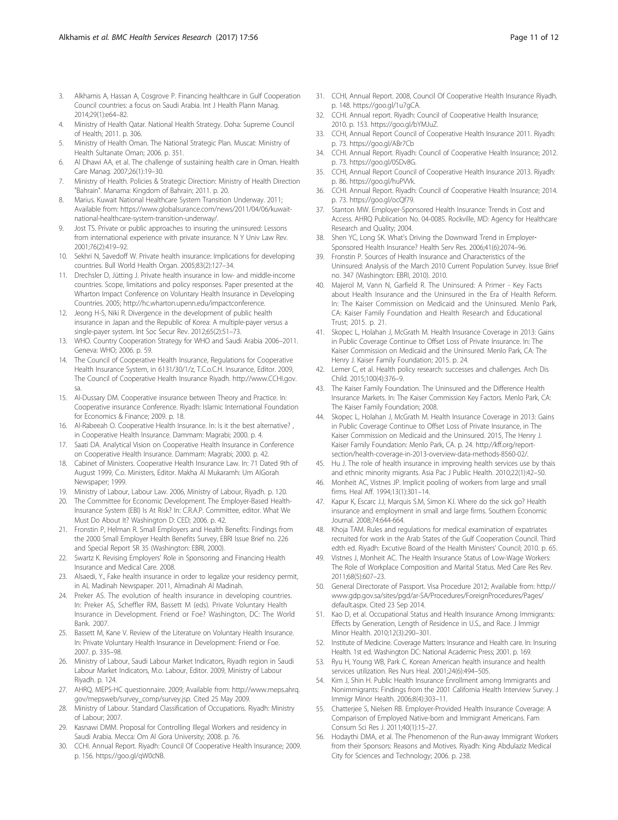- <span id="page-10-0"></span>3. Alkhamis A, Hassan A, Cosgrove P. Financing healthcare in Gulf Cooperation Council countries: a focus on Saudi Arabia. Int J Health Plann Manag. 2014;29(1):e64–82.
- 4. Ministry of Health Qatar. National Health Strategy. Doha: Supreme Council of Health; 2011. p. 306.
- 5. Ministry of Health Oman. The National Strategic Plan. Muscat: Ministry of Health Sultanate Oman; 2006. p. 351.
- 6. Al Dhawi AA, et al. The challenge of sustaining health care in Oman. Health Care Manag. 2007;26(1):19–30.
- 7. Ministry of Health. Policies & Strategic Direction: Ministry of Health Direction "Bahrain". Manama: Kingdom of Bahrain; 2011. p. 20.
- 8. Marius. Kuwait National Healthcare System Transition Underway. 2011; Available from: [https://www.globalsurance.com/news/2011/04/06/kuwait](https://www.globalsurance.com/news/2011/04/06/kuwait-national-healthcare-system-transition-underway/)[national-healthcare-system-transition-underway/](https://www.globalsurance.com/news/2011/04/06/kuwait-national-healthcare-system-transition-underway/).
- 9. Jost TS. Private or public approaches to insuring the uninsured: Lessons from international experience with private insurance. N Y Univ Law Rev. 2001;76(2):419–92.
- 10. Sekhri N, Savedoff W. Private health insurance: Implications for developing countries. Bull World Health Organ. 2005;83(2):127–34.
- 11. Drechsler D, Jütting J. Private health insurance in low- and middle-income countries. Scope, limitations and policy responses. Paper presented at the Wharton Impact Conference on Voluntary Health Insurance in Developing Countries. 2005; [http://hc.wharton.upenn.edu/impactconference.](http://hc.wharton.upenn.edu/impactconference)
- 12. Jeong H-S, Niki R. Divergence in the development of public health insurance in Japan and the Republic of Korea: A multiple-payer versus a single-payer system. Int Soc Secur Rev. 2012;65(2):51–73.
- 13. WHO. Country Cooperation Strategy for WHO and Saudi Arabia 2006–2011. Geneva: WHO; 2006. p. 59.
- 14. The Council of Cooperative Health Insurance, Regulations for Cooperative Health Insurance System, in 6131/30/1/z, T.C.o.C.H. Insurance, Editor. 2009, The Council of Cooperative Health Insurance Riyadh. [http://www.CCHI.gov.](http://www.CCHI.gov.sa) [sa](http://www.CCHI.gov.sa).
- 15. Al-Dussary DM. Cooperative insurance between Theory and Practice. In: Cooperative insurance Conference. Riyadh: Islamic International Foundation for Economics & Finance; 2009. p. 18.
- 16. Al-Rabeeah O. Cooperative Health Insurance. In: Is it the best alternative? , in Cooperative Health Insurance. Dammam: Magrabi; 2000. p. 4.
- 17. Saati DA. Analytical Vision on Cooperative Health Insurance in Conference on Cooperative Health Insurance. Dammam: Magrabi; 2000. p. 42.
- 18. Cabinet of Ministers. Cooperative Health Insurance Law. In: 71 Dated 9th of August 1999, C.o. Ministers, Editor. Makha Al Mukaramh: Um AlGorah Newspaper; 1999.
- 19. Ministry of Labour, Labour Law. 2006, Ministry of Labour, Riyadh. p. 120.
- 20. The Committee for Economic Development. The Employer-Based Health-Insurance System (EBI) Is At Risk? In: C.R.A.P. Committee, editor. What We Must Do About It? Washington D: CED; 2006. p. 42.
- 21. Fronstin P, Helman R. Small Employers and Health Benefits: Findings from the 2000 Small Employer Health Benefits Survey, EBRI Issue Brief no. 226 and Special Report SR 35 (Washington: EBRI, 2000).
- 22. Swartz K. Revising Employers' Role in Sponsoring and Financing Health Insurance and Medical Care. 2008.
- 23. Alsaedi, Y., Fake health insurance in order to legalize your residency permit, in AL Madinah Newspaper. 2011, Almadinah Al Madinah.
- 24. Preker AS. The evolution of health insurance in developing countries. In: Preker AS, Scheffler RM, Bassett M (eds). Private Voluntary Health Insurance in Development. Friend or Foe? Washington, DC: The World Bank. 2007.
- 25. Bassett M, Kane V. Review of the Literature on Voluntary Health Insurance. In: Private Voluntary Health Insurance in Development: Friend or Foe. 2007. p. 335–98.
- 26. Ministry of Labour, Saudi Labour Market Indicators, Riyadh region in Saudi Labour Market Indicators, M.o. Labour, Editor. 2009, Ministry of Labour Riyadh. p. 124.
- 27. AHRQ. MEPS-HC questionnaire. 2009; Available from: [http://www.meps.ahrq.](http://www.meps.ahrq.gov/mepsweb/survey_comp/survey.jsp) [gov/mepsweb/survey\\_comp/survey.jsp](http://www.meps.ahrq.gov/mepsweb/survey_comp/survey.jsp). Cited 25 May 2009.
- 28. Ministry of Labour. Standard Classification of Occupations. Riyadh: Ministry of Labour; 2007.
- 29. Kasnawi DMM. Proposal for Controlling Illegal Workers and residency in Saudi Arabia. Mecca: Om Al Gora University; 2008. p. 76.
- 30. CCHI. Annual Report. Riyadh: Council Of Cooperative Health Insurance; 2009. p. 156. [https://goo.gl/qW0cNB.](https://goo.gl/qW0cNB)
- 31. CCHI, Annual Report. 2008, Council Of Cooperative Health Insurance Riyadh. p. 148. [https://goo.gl/1u7gCA.](https://goo.gl/1u7gCA)
- 32. CCHI. Annual report. Riyadh: Council of Cooperative Health Insurance; 2010. p. 153.<https://goo.gl/bYMJuZ>.
- 33. CCHI, Annual Report Council of Cooperative Health Insurance 2011. Riyadh: p. 73.<https://goo.gl/ABr7Cb>
- 34. CCHI. Annual Report. Riyadh: Council of Cooperative Health Insurance; 2012. p. 73.<https://goo.gl/0SDv8G>.
- 35. CCHI, Annual Report Council of Cooperative Health Insurance 2013. Riyadh: p. 86.<https://goo.gl/huPVVk>.
- 36. CCHI. Annual Report. Riyadh: Council of Cooperative Health Insurance; 2014. p. 73.<https://goo.gl/ocQf79>.
- 37. Stanton MW. Employer-Sponsored Health Insurance: Trends in Cost and Access. AHRQ Publication No. 04-0085. Rockville, MD: Agency for Healthcare Research and Quality; 2004.
- 38. Shen YC, Long SK. What's Driving the Downward Trend in Employer‐ Sponsored Health Insurance? Health Serv Res. 2006;41(6):2074–96.
- 39. Fronstin P. Sources of Health Insurance and Characteristics of the Uninsured: Analysis of the March 2010 Current Population Survey. Issue Brief no. 347 (Washington: EBRI, 2010). 2010.
- 40. Majerol M, Vann N, Garfield R. The Uninsured: A Primer Key Facts about Health Insurance and the Uninsured in the Era of Health Reform. In: The Kaiser Commission on Medicaid and the Uninsured. Menlo Park, CA: Kaiser Family Foundation and Health Research and Educational Trust; 2015. p. 21.
- 41. Skopec L, Holahan J, McGrath M. Health Insurance Coverage in 2013: Gains in Public Coverage Continue to Offset Loss of Private Insurance. In: The Kaiser Commission on Medicaid and the Uninsured. Menlo Park, CA: The Henry J. Kaiser Family Foundation; 2015. p. 24.
- 42. Lemer C, et al. Health policy research: successes and challenges. Arch Dis Child. 2015;100(4):376–9.
- 43. The Kaiser Family Foundation. The Uninsured and the Difference Health Insurance Markets. In: The Kaiser Commission Key Factors. Menlo Park, CA: The Kaiser Family Foundation; 2008.
- 44. Skopec L, Holahan J, McGrath M. Health Insurance Coverage in 2013: Gains in Public Coverage Continue to Offset Loss of Private Insurance, in The Kaiser Commission on Medicaid and the Uninsured. 2015, The Henry J. Kaiser Family Foundation: Menlo Park, CA. p. 24. [http://kff.org/report](http://kff.org/report-section/health-coverage-in-2013-overview-data-methods-8560-02/)[section/health-coverage-in-2013-overview-data-methods-8560-02/](http://kff.org/report-section/health-coverage-in-2013-overview-data-methods-8560-02/).
- 45. Hu J. The role of health insurance in improving health services use by thais and ethnic minority migrants. Asia Pac J Public Health. 2010;22(1):42–50.
- 46. Monheit AC, Vistnes JP. Implicit pooling of workers from large and small firms. Heal Aff. 1994;13(1):301–14.
- 47. Kapur K, Escarc J.J, Marquis S.M, Simon K.I. Where do the sick go? Health insurance and employment in small and large firms. Southern Economic Journal. 2008;74:644-664.
- Khoja TAM. Rules and regulations for medical examination of expatriates recruited for work in the Arab States of the Gulf Cooperation Council. Third edth ed. Riyadh: Excutive Board of the Health Ministers' Council; 2010. p. 65.
- 49. Vistnes J, Monheit AC. The Health Insurance Status of Low-Wage Workers: The Role of Workplace Composition and Marital Status. Med Care Res Rev. 2011;68(5):607–23.
- 50. General Directorate of Passport. Visa Procedure 2012; Available from: [http://](http://www.gdp.gov.sa/sites/pgd/ar-SA/Procedures/ForeignProcedures/Pages/default.aspx) [www.gdp.gov.sa/sites/pgd/ar-SA/Procedures/ForeignProcedures/Pages/](http://www.gdp.gov.sa/sites/pgd/ar-SA/Procedures/ForeignProcedures/Pages/default.aspx) [default.aspx](http://www.gdp.gov.sa/sites/pgd/ar-SA/Procedures/ForeignProcedures/Pages/default.aspx). Cited 23 Sep 2014.
- 51. Kao D, et al. Occupational Status and Health Insurance Among Immigrants: Effects by Generation, Length of Residence in U.S., and Race. J Immigr Minor Health. 2010;12(3):290–301.
- 52. Institute of Medicine. Coverage Matters: Insurance and Health care. In: Insuring Health. 1st ed. Washington DC: National Academic Press; 2001. p. 169.
- 53. Ryu H, Young WB, Park C. Korean American health insurance and health services utilization. Res Nurs Heal. 2001;24(6):494–505.
- 54. Kim J, Shin H. Public Health Insurance Enrollment among Immigrants and Nonimmigrants: Findings from the 2001 California Health Interview Survey. J Immigr Minor Health. 2006;8(4):303–11.
- 55. Chatterjee S, Nielsen RB. Employer-Provided Health Insurance Coverage: A Comparison of Employed Native-born and Immigrant Americans. Fam Consum Sci Res J. 2011;40(1):15–27.
- 56. Hodaythi DMA, et al. The Phenomenon of the Run-away Immigrant Workers from their Sponsors: Reasons and Motives. Riyadh: King Abdulaziz Medical City for Sciences and Technology; 2006. p. 238.